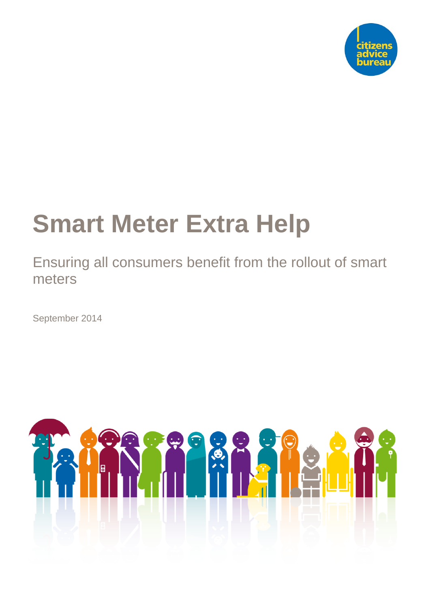

# **Smart Meter Extra Help**

Ensuring all consumers benefit from the rollout of smart meters

September 2014

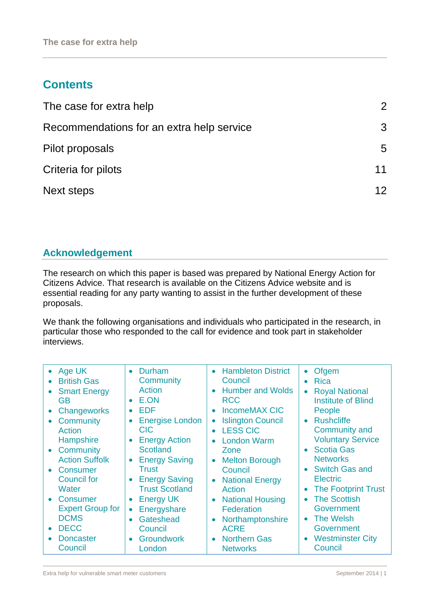# **Contents**

| The case for extra help                   | 2  |
|-------------------------------------------|----|
| Recommendations for an extra help service | 3  |
| Pilot proposals                           | 5  |
| Criteria for pilots                       | 11 |
| Next steps                                | 12 |

## **Acknowledgement**

The research on which this paper is based was prepared by National Energy Action for Citizens Advice. That research is available on the Citizens Advice website and is essential reading for any party wanting to assist in the further development of these proposals.

We thank the following organisations and individuals who participated in the research, in particular those who responded to the call for evidence and took part in stakeholder interviews.

| • Age UK<br><b>British Gas</b><br><b>Smart Energy</b><br>GB<br>Changeworks<br>Community<br>Action<br>Hampshire<br>• Community<br><b>Action Suffolk</b><br>Consumer<br><b>Council for</b><br><b>Water</b><br>• Consumer<br><b>Expert Group for</b><br><b>DCMS</b><br><b>DECC</b> | <b>Durham</b><br>$\bullet$<br>Community<br>Action<br>E.ON<br>$\bullet$<br><b>EDF</b><br>$\bullet$<br><b>Energise London</b><br>$\bullet$<br><b>CIC</b><br><b>Energy Action</b><br>$\bullet$<br><b>Scotland</b><br><b>Energy Saving</b><br>$\bullet$<br><b>Trust</b><br><b>Energy Saving</b><br>$\bullet$<br><b>Trust Scotland</b><br><b>Energy UK</b><br>$\bullet$<br>Energyshare<br>$\bullet$<br>Gateshead<br>$\bullet$<br>Council<br>$\bullet$ | <b>Hambleton District</b><br>$\bullet$<br>Council<br><b>Humber and Wolds</b><br>$\bullet$<br><b>RCC</b><br><b>IncomeMAX CIC</b><br>$\bullet$<br><b>Islington Council</b><br>$\bullet$<br><b>LESS CIC</b><br>$\bullet$<br><b>London Warm</b><br>$\bullet$<br>Zone<br><b>Melton Borough</b><br>$\bullet$<br>Council<br><b>National Energy</b><br>$\bullet$<br>Action<br><b>National Housing</b><br>$\bullet$<br><b>Federation</b><br>Northamptonshire<br>$\bullet$<br><b>ACRE</b><br>$\bullet$ | Ofgem<br>$\bullet$<br><b>Rica</b><br>$\bullet$<br><b>Royal National</b><br>$\bullet$<br><b>Institute of Blind</b><br>People<br><b>Rushcliffe</b><br>$\bullet$<br><b>Community and</b><br><b>Voluntary Service</b><br><b>Scotia Gas</b><br>$\bullet$<br><b>Networks</b><br><b>Switch Gas and</b><br>$\bullet$<br><b>Electric</b><br><b>The Footprint Trust</b><br>$\bullet$<br><b>The Scottish</b><br>$\bullet$<br>Government<br><b>The Welsh</b><br>$\bullet$<br>Government<br>$\bullet$ |
|---------------------------------------------------------------------------------------------------------------------------------------------------------------------------------------------------------------------------------------------------------------------------------|--------------------------------------------------------------------------------------------------------------------------------------------------------------------------------------------------------------------------------------------------------------------------------------------------------------------------------------------------------------------------------------------------------------------------------------------------|----------------------------------------------------------------------------------------------------------------------------------------------------------------------------------------------------------------------------------------------------------------------------------------------------------------------------------------------------------------------------------------------------------------------------------------------------------------------------------------------|------------------------------------------------------------------------------------------------------------------------------------------------------------------------------------------------------------------------------------------------------------------------------------------------------------------------------------------------------------------------------------------------------------------------------------------------------------------------------------------|
| <b>Doncaster</b>                                                                                                                                                                                                                                                                | <b>Groundwork</b>                                                                                                                                                                                                                                                                                                                                                                                                                                | <b>Northern Gas</b>                                                                                                                                                                                                                                                                                                                                                                                                                                                                          | <b>Westminster City</b>                                                                                                                                                                                                                                                                                                                                                                                                                                                                  |
| Council                                                                                                                                                                                                                                                                         | London                                                                                                                                                                                                                                                                                                                                                                                                                                           | <b>Networks</b>                                                                                                                                                                                                                                                                                                                                                                                                                                                                              | Council                                                                                                                                                                                                                                                                                                                                                                                                                                                                                  |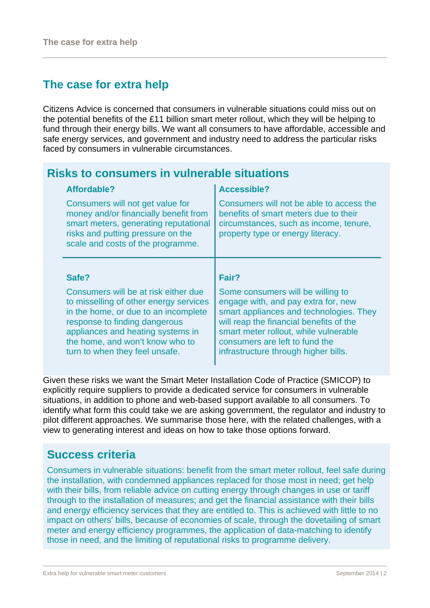# **The case for extra help**

Citizens Advice is concerned that consumers in vulnerable situations could miss out on the potential benefits of the £11 billion smart meter rollout, which they will be helping to fund through their energy bills. We want all consumers to have affordable, accessible and safe energy services, and government and industry need to address the particular risks faced by consumers in vulnerable circumstances.

#### **Risks to consumers in vulnerable situations Affordable?**  Consumers will not get value for money and/or financially benefit from smart meters, generating reputational risks and putting pressure on the scale and costs of the programme. **Accessible?** Consumers will not be able to access the benefits of smart meters due to their circumstances, such as income, tenure, property type or energy literacy. **Safe?**  Consumers will be at risk either due to misselling of other energy services in the home, or due to an incomplete response to finding dangerous appliances and heating systems in the home, and won't know who to turn to when they feel unsafe. **Fair?**  Some consumers will be willing to engage with, and pay extra for, new smart appliances and technologies. They will reap the financial benefits of the smart meter rollout, while vulnerable consumers are left to fund the infrastructure through higher bills.

Given these risks we want the Smart Meter Installation Code of Practice (SMICOP) to explicitly require suppliers to provide a dedicated service for consumers in vulnerable situations, in addition to phone and web-based support available to all consumers. To identify what form this could take we are asking government, the regulator and industry to pilot different approaches. We summarise those here, with the related challenges, with a view to generating interest and ideas on how to take those options forward.

## **Success criteria**

Consumers in vulnerable situations: benefit from the smart meter rollout, feel safe during the installation, with condemned appliances replaced for those most in need; get help with their bills, from reliable advice on cutting energy through changes in use or tariff through to the installation of measures; and get the financial assistance with their bills and energy efficiency services that they are entitled to. This is achieved with little to no impact on others' bills, because of economies of scale, through the dovetailing of smart meter and energy efficiency programmes, the application of data-matching to identify those in need, and the limiting of reputational risks to programme delivery.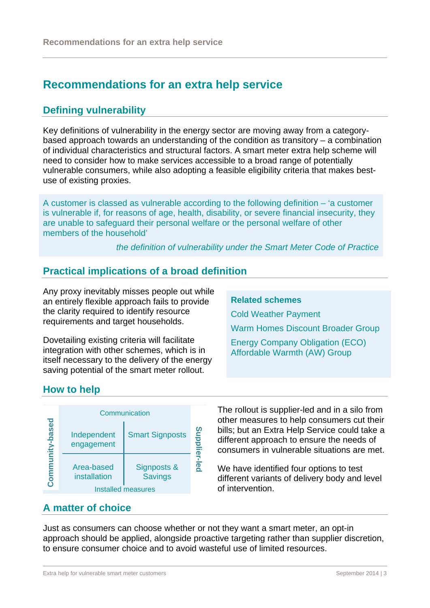# **Recommendations for an extra help service**

## **Defining vulnerability**

Key definitions of vulnerability in the energy sector are moving away from a categorybased approach towards an understanding of the condition as transitory – a combination of individual characteristics and structural factors. A smart meter extra help scheme will need to consider how to make services accessible to a broad range of potentially vulnerable consumers, while also adopting a feasible eligibility criteria that makes bestuse of existing proxies.

A customer is classed as vulnerable according to the following definition – 'a customer is vulnerable if, for reasons of age, health, disability, or severe financial insecurity, they are unable to safeguard their personal welfare or the personal welfare of other members of the household'

*the definition of vulnerability under the Smart Meter Code of Practice*

## **Practical implications of a broad definition**

Any proxy inevitably misses people out while an entirely flexible approach fails to provide the clarity required to identify resource requirements and target households.

Dovetailing existing criteria will facilitate integration with other schemes, which is in itself necessary to the delivery of the energy saving potential of the smart meter rollout.

#### **Related schemes**

Cold Weather Payment

Warm Homes Discount Broader Group

Energy Company Obligation (ECO) Affordable Warmth (AW) Group

## **How to help**



The rollout is supplier-led and in a silo from other measures to help consumers cut their bills; but an Extra Help Service could take a different approach to ensure the needs of consumers in vulnerable situations are met.

We have identified four options to test different variants of delivery body and level of intervention.

## **A matter of choice**

Just as consumers can choose whether or not they want a smart meter, an opt-in approach should be applied, alongside proactive targeting rather than supplier discretion, to ensure consumer choice and to avoid wasteful use of limited resources.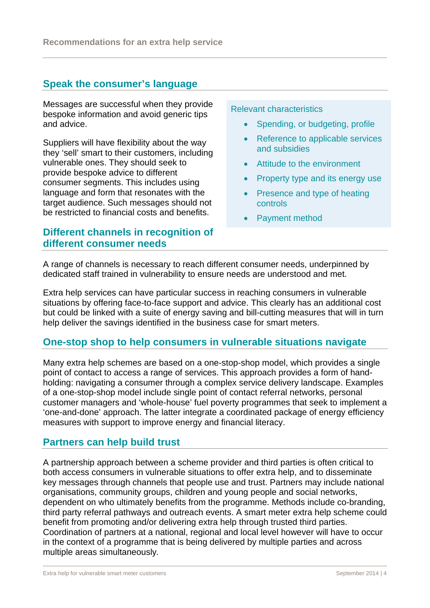## **Speak the consumer's language**

Messages are successful when they provide bespoke information and avoid generic tips and advice.

Suppliers will have flexibility about the way they 'sell' smart to their customers, including vulnerable ones. They should seek to provide bespoke advice to different consumer segments. This includes using language and form that resonates with the target audience. Such messages should not be restricted to financial costs and benefits.

## **Different channels in recognition of different consumer needs**

Relevant characteristics

- Spending, or budgeting, profile
- Reference to applicable services and subsidies
- Attitude to the environment
- Property type and its energy use
- Presence and type of heating controls
- Payment method

A range of channels is necessary to reach different consumer needs, underpinned by dedicated staff trained in vulnerability to ensure needs are understood and met.

Extra help services can have particular success in reaching consumers in vulnerable situations by offering face-to-face support and advice. This clearly has an additional cost but could be linked with a suite of energy saving and bill-cutting measures that will in turn help deliver the savings identified in the business case for smart meters.

#### **One-stop shop to help consumers in vulnerable situations navigate**

Many extra help schemes are based on a one-stop-shop model, which provides a single point of contact to access a range of services. This approach provides a form of handholding: navigating a consumer through a complex service delivery landscape. Examples of a one-stop-shop model include single point of contact referral networks, personal customer managers and 'whole-house' fuel poverty programmes that seek to implement a 'one-and-done' approach. The latter integrate a coordinated package of energy efficiency measures with support to improve energy and financial literacy.

#### **Partners can help build trust**

A partnership approach between a scheme provider and third parties is often critical to both access consumers in vulnerable situations to offer extra help, and to disseminate key messages through channels that people use and trust. Partners may include national organisations, community groups, children and young people and social networks, dependent on who ultimately benefits from the programme. Methods include co-branding, third party referral pathways and outreach events. A smart meter extra help scheme could benefit from promoting and/or delivering extra help through trusted third parties. Coordination of partners at a national, regional and local level however will have to occur in the context of a programme that is being delivered by multiple parties and across multiple areas simultaneously*.*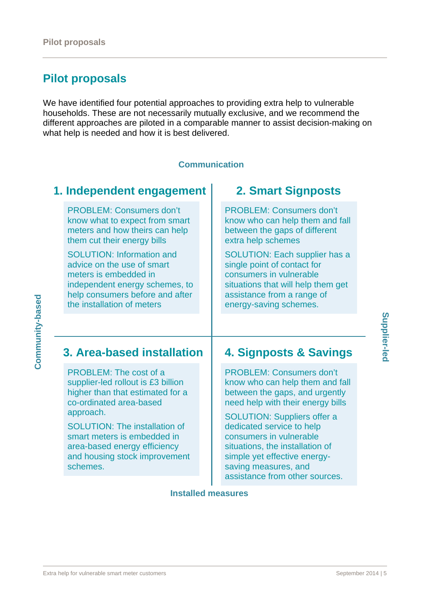# **Pilot proposals**

We have identified four potential approaches to providing extra help to vulnerable households. These are not necessarily mutually exclusive, and we recommend the different approaches are piloted in a comparable manner to assist decision-making on what help is needed and how it is best delivered.

#### **Communication**

## **1. Independent engagement**

PROBLEM: Consumers don't know what to expect from smart meters and how theirs can help them cut their energy bills

SOLUTION: Information and advice on the use of smart meters is embedded in independent energy schemes, to help consumers before and after the installation of meters

## **2. Smart Signposts**

PROBLEM: Consumers don't know who can help them and fall between the gaps of different extra help schemes

SOLUTION: Each supplier has a single point of contact for consumers in vulnerable situations that will help them get assistance from a range of energy-saving schemes.

# **3. Area-based installation**

PROBLEM: The cost of a supplier-led rollout is £3 billion higher than that estimated for a co-ordinated area-based approach.

SOLUTION: The installation of smart meters is embedded in area-based energy efficiency and housing stock improvement schemes.

## **4. Signposts & Savings**

PROBLEM: Consumers don't know who can help them and fall between the gaps, and urgently need help with their energy bills

SOLUTION: Suppliers offer a dedicated service to help consumers in vulnerable situations, the installation of simple yet effective energysaving measures, and assistance from other sources.

**Installed measures** 

Supplier-lec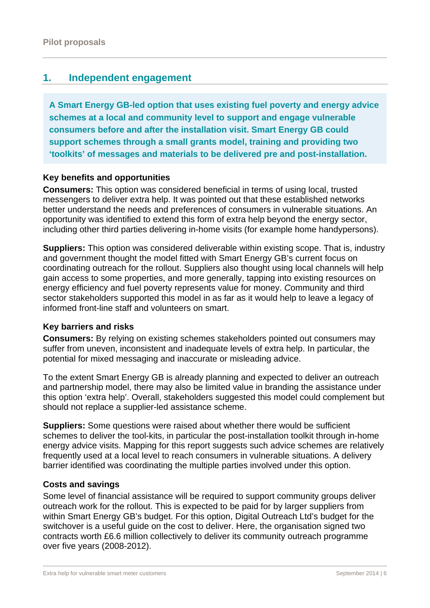## **1. Independent engagement**

**A Smart Energy GB-led option that uses existing fuel poverty and energy advice schemes at a local and community level to support and engage vulnerable consumers before and after the installation visit. Smart Energy GB could support schemes through a small grants model, training and providing two 'toolkits' of messages and materials to be delivered pre and post-installation.** 

#### **Key benefits and opportunities**

**Consumers:** This option was considered beneficial in terms of using local, trusted messengers to deliver extra help. It was pointed out that these established networks better understand the needs and preferences of consumers in vulnerable situations. An opportunity was identified to extend this form of extra help beyond the energy sector, including other third parties delivering in-home visits (for example home handypersons).

**Suppliers:** This option was considered deliverable within existing scope. That is, industry and government thought the model fitted with Smart Energy GB's current focus on coordinating outreach for the rollout. Suppliers also thought using local channels will help gain access to some properties, and more generally, tapping into existing resources on energy efficiency and fuel poverty represents value for money. *C*ommunity and third sector stakeholders supported this model in as far as it would help to leave a legacy of informed front-line staff and volunteers on smart.

#### **Key barriers and risks**

**Consumers:** By relying on existing schemes stakeholders pointed out consumers may suffer from uneven, inconsistent and inadequate levels of extra help. In particular, the potential for mixed messaging and inaccurate or misleading advice.

To the extent Smart Energy GB is already planning and expected to deliver an outreach and partnership model, there may also be limited value in branding the assistance under this option 'extra help'. Overall, stakeholders suggested this model could complement but should not replace a supplier-led assistance scheme.

**Suppliers:** Some questions were raised about whether there would be sufficient schemes to deliver the tool-kits, in particular the post-installation toolkit through in-home energy advice visits. Mapping for this report suggests such advice schemes are relatively frequently used at a local level to reach consumers in vulnerable situations. A delivery barrier identified was coordinating the multiple parties involved under this option.

#### **Costs and savings**

Some level of financial assistance will be required to support community groups deliver outreach work for the rollout. This is expected to be paid for by larger suppliers from within Smart Energy GB's budget. For this option, Digital Outreach Ltd's budget for the switchover is a useful quide on the cost to deliver. Here, the organisation signed two contracts worth £6.6 million collectively to deliver its community outreach programme over five years (2008-2012).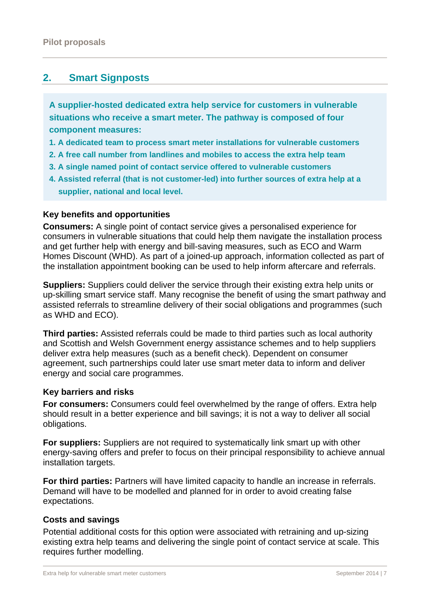## **2. Smart Signposts**

**A supplier-hosted dedicated extra help service for customers in vulnerable situations who receive a smart meter. The pathway is composed of four component measures:** 

- **1. A dedicated team to process smart meter installations for vulnerable customers**
- **2. A free call number from landlines and mobiles to access the extra help team**
- **3. A single named point of contact service offered to vulnerable customers**
- **4. Assisted referral (that is not customer-led) into further sources of extra help at a supplier, national and local level.**

#### **Key benefits and opportunities**

**Consumers:** A single point of contact service gives a personalised experience for consumers in vulnerable situations that could help them navigate the installation process and get further help with energy and bill-saving measures, such as ECO and Warm Homes Discount (WHD). As part of a joined-up approach, information collected as part of the installation appointment booking can be used to help inform aftercare and referrals.

**Suppliers:** Suppliers could deliver the service through their existing extra help units or up-skilling smart service staff. Many recognise the benefit of using the smart pathway and assisted referrals to streamline delivery of their social obligations and programmes (such as WHD and ECO).

**Third parties:** Assisted referrals could be made to third parties such as local authority and Scottish and Welsh Government energy assistance schemes and to help suppliers deliver extra help measures (such as a benefit check). Dependent on consumer agreement, such partnerships could later use smart meter data to inform and deliver energy and social care programmes.

#### **Key barriers and risks**

**For consumers:** Consumers could feel overwhelmed by the range of offers. Extra help should result in a better experience and bill savings; it is not a way to deliver all social obligations.

**For suppliers:** Suppliers are not required to systematically link smart up with other energy-saving offers and prefer to focus on their principal responsibility to achieve annual installation targets.

**For third parties:** Partners will have limited capacity to handle an increase in referrals. Demand will have to be modelled and planned for in order to avoid creating false expectations.

#### **Costs and savings**

Potential additional costs for this option were associated with retraining and up-sizing existing extra help teams and delivering the single point of contact service at scale. This requires further modelling.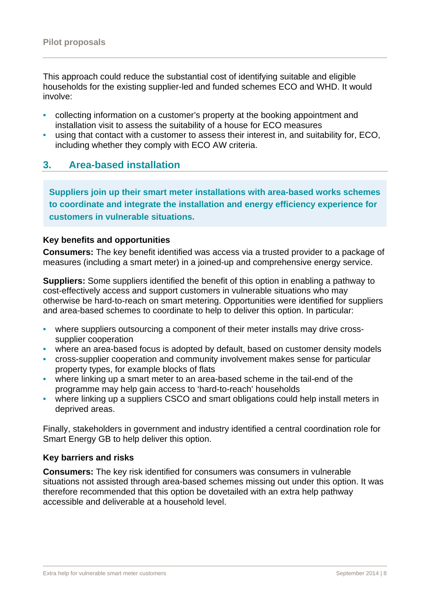This approach could reduce the substantial cost of identifying suitable and eligible households for the existing supplier-led and funded schemes ECO and WHD. It would involve:

- collecting information on a customer's property at the booking appointment and installation visit to assess the suitability of a house for ECO measures
- using that contact with a customer to assess their interest in, and suitability for, ECO, including whether they comply with ECO AW criteria.

### **3. Area-based installation**

**Suppliers join up their smart meter installations with area-based works schemes to coordinate and integrate the installation and energy efficiency experience for customers in vulnerable situations.** 

#### **Key benefits and opportunities**

**Consumers:** The key benefit identified was access via a trusted provider to a package of measures (including a smart meter) in a joined-up and comprehensive energy service.

**Suppliers:** Some suppliers identified the benefit of this option in enabling a pathway to cost-effectively access and support customers in vulnerable situations who may otherwise be hard-to-reach on smart metering. Opportunities were identified for suppliers and area-based schemes to coordinate to help to deliver this option. In particular:

- where suppliers outsourcing a component of their meter installs may drive crosssupplier cooperation
- where an area-based focus is adopted by default, based on customer density models
- cross-supplier cooperation and community involvement makes sense for particular property types, for example blocks of flats
- where linking up a smart meter to an area-based scheme in the tail-end of the programme may help gain access to 'hard-to-reach' households
- where linking up a suppliers CSCO and smart obligations could help install meters in deprived areas.

Finally, stakeholders in government and industry identified a central coordination role for Smart Energy GB to help deliver this option.

#### **Key barriers and risks**

**Consumers:** The key risk identified for consumers was consumers in vulnerable situations not assisted through area-based schemes missing out under this option. It was therefore recommended that this option be dovetailed with an extra help pathway accessible and deliverable at a household level.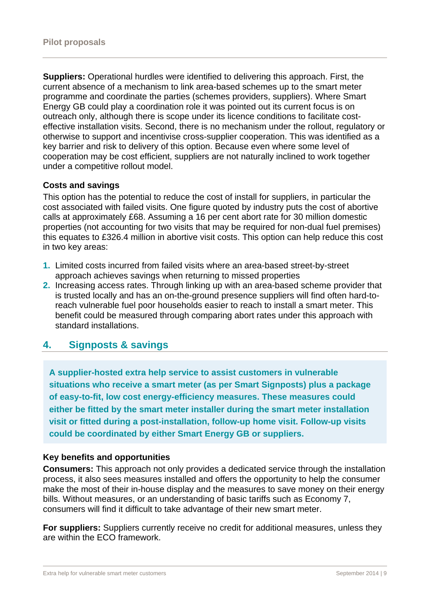**Suppliers:** Operational hurdles were identified to delivering this approach. First, the current absence of a mechanism to link area-based schemes up to the smart meter programme and coordinate the parties (schemes providers, suppliers). Where Smart Energy GB could play a coordination role it was pointed out its current focus is on outreach only, although there is scope under its licence conditions to facilitate costeffective installation visits. Second, there is no mechanism under the rollout, regulatory or otherwise to support and incentivise cross-supplier cooperation. This was identified as a key barrier and risk to delivery of this option. Because even where some level of cooperation may be cost efficient, suppliers are not naturally inclined to work together under a competitive rollout model.

#### **Costs and savings**

This option has the potential to reduce the cost of install for suppliers, in particular the cost associated with failed visits. One figure quoted by industry puts the cost of abortive calls at approximately £68. Assuming a 16 per cent abort rate for 30 million domestic properties (not accounting for two visits that may be required for non-dual fuel premises) this equates to £326.4 million in abortive visit costs. This option can help reduce this cost in two key areas:

- **1.** Limited costs incurred from failed visits where an area-based street-by-street approach achieves savings when returning to missed properties
- **2.** Increasing access rates. Through linking up with an area-based scheme provider that is trusted locally and has an on-the-ground presence suppliers will find often hard-toreach vulnerable fuel poor households easier to reach to install a smart meter. This benefit could be measured through comparing abort rates under this approach with standard installations.

## **4. Signposts & savings**

**A supplier-hosted extra help service to assist customers in vulnerable situations who receive a smart meter (as per Smart Signposts) plus a package of easy-to-fit, low cost energy-efficiency measures. These measures could either be fitted by the smart meter installer during the smart meter installation visit or fitted during a post-installation, follow-up home visit. Follow-up visits could be coordinated by either Smart Energy GB or suppliers.** 

#### **Key benefits and opportunities**

**Consumers:** This approach not only provides a dedicated service through the installation process, it also sees measures installed and offers the opportunity to help the consumer make the most of their in-house display and the measures to save money on their energy bills. Without measures, or an understanding of basic tariffs such as Economy 7, consumers will find it difficult to take advantage of their new smart meter.

**For suppliers:** Suppliers currently receive no credit for additional measures, unless they are within the ECO framework.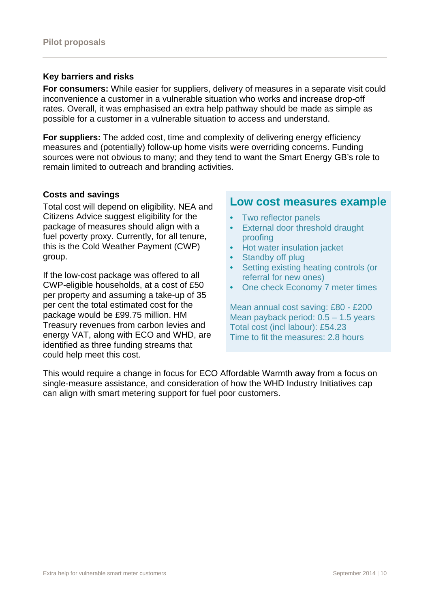#### **Key barriers and risks**

**For consumers:** While easier for suppliers, delivery of measures in a separate visit could inconvenience a customer in a vulnerable situation who works and increase drop-off rates. Overall, it was emphasised an extra help pathway should be made as simple as possible for a customer in a vulnerable situation to access and understand.

**For suppliers:** The added cost, time and complexity of delivering energy efficiency measures and (potentially) follow-up home visits were overriding concerns. Funding sources were not obvious to many; and they tend to want the Smart Energy GB's role to remain limited to outreach and branding activities.

#### **Costs and savings**

Total cost will depend on eligibility. NEA and Citizens Advice suggest eligibility for the package of measures should align with a fuel poverty proxy. Currently, for all tenure, this is the Cold Weather Payment (CWP) group.

If the low-cost package was offered to all CWP-eligible households, at a cost of £50 per property and assuming a take-up of 35 per cent the total estimated cost for the package would be £99.75 million. HM Treasury revenues from carbon levies and energy VAT, along with ECO and WHD, are identified as three funding streams that could help meet this cost.

## **Low cost measures example**

- Two reflector panels
- External door threshold draught proofing
- Hot water insulation jacket
- Standby off plug
- Setting existing heating controls (or referral for new ones)
- One check Economy 7 meter times

Mean annual cost saving: £80 - £200 Mean payback period: 0.5 – 1.5 years Total cost (incl labour): £54.23 Time to fit the measures: 2.8 hours

This would require a change in focus for ECO Affordable Warmth away from a focus on single-measure assistance, and consideration of how the WHD Industry Initiatives cap can align with smart metering support for fuel poor customers.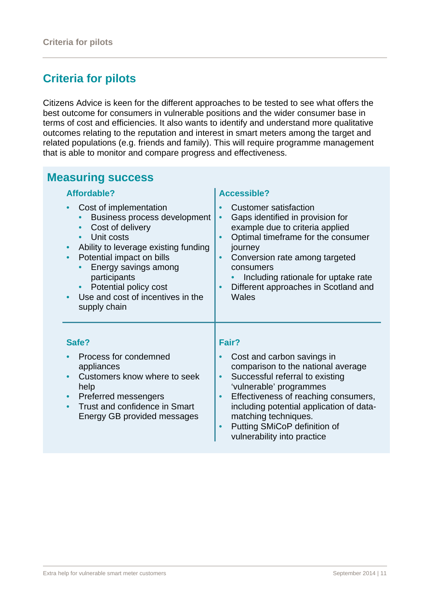# **Criteria for pilots**

Citizens Advice is keen for the different approaches to be tested to see what offers the best outcome for consumers in vulnerable positions and the wider consumer base in terms of cost and efficiencies. It also wants to identify and understand more qualitative outcomes relating to the reputation and interest in smart meters among the target and related populations (e.g. friends and family). This will require programme management that is able to monitor and compare progress and effectiveness.

| <b>Measuring success</b>                                                                                                                                                                                                                                                                                                   |                                                                                                                                                                                                                                                                                                                                     |  |  |  |
|----------------------------------------------------------------------------------------------------------------------------------------------------------------------------------------------------------------------------------------------------------------------------------------------------------------------------|-------------------------------------------------------------------------------------------------------------------------------------------------------------------------------------------------------------------------------------------------------------------------------------------------------------------------------------|--|--|--|
| Affordable?                                                                                                                                                                                                                                                                                                                | <b>Accessible?</b>                                                                                                                                                                                                                                                                                                                  |  |  |  |
| Cost of implementation<br>$\bullet$<br>Business process development<br>Cost of delivery<br>Unit costs<br>Ability to leverage existing funding<br>$\bullet$<br>Potential impact on bills<br>$\bullet$<br>Energy savings among<br>participants<br>Potential policy cost<br>Use and cost of incentives in the<br>supply chain | <b>Customer satisfaction</b><br>Gaps identified in provision for<br>example due to criteria applied<br>Optimal timeframe for the consumer<br>$\bullet$<br>journey<br>Conversion rate among targeted<br>consumers<br>Including rationale for uptake rate<br>Different approaches in Scotland and<br>$\bullet$<br>Wales               |  |  |  |
| Safe?                                                                                                                                                                                                                                                                                                                      | Fair?                                                                                                                                                                                                                                                                                                                               |  |  |  |
| Process for condemned<br>appliances<br>Customers know where to seek<br>help<br>Preferred messengers<br>$\bullet$<br>Trust and confidence in Smart<br>$\bullet$<br>Energy GB provided messages                                                                                                                              | Cost and carbon savings in<br>comparison to the national average<br>Successful referral to existing<br>'vulnerable' programmes<br>Effectiveness of reaching consumers,<br>$\bullet$<br>including potential application of data-<br>matching techniques.<br>Putting SMiCoP definition of<br>$\bullet$<br>vulnerability into practice |  |  |  |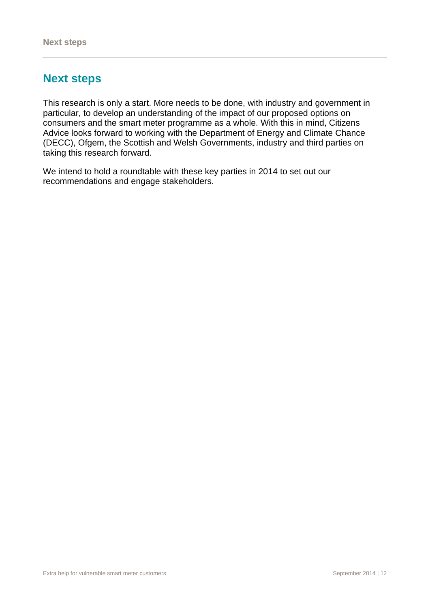# **Next steps**

This research is only a start. More needs to be done, with industry and government in particular, to develop an understanding of the impact of our proposed options on consumers and the smart meter programme as a whole. With this in mind, Citizens Advice looks forward to working with the Department of Energy and Climate Chance (DECC), Ofgem, the Scottish and Welsh Governments, industry and third parties on taking this research forward.

We intend to hold a roundtable with these key parties in 2014 to set out our recommendations and engage stakeholders.